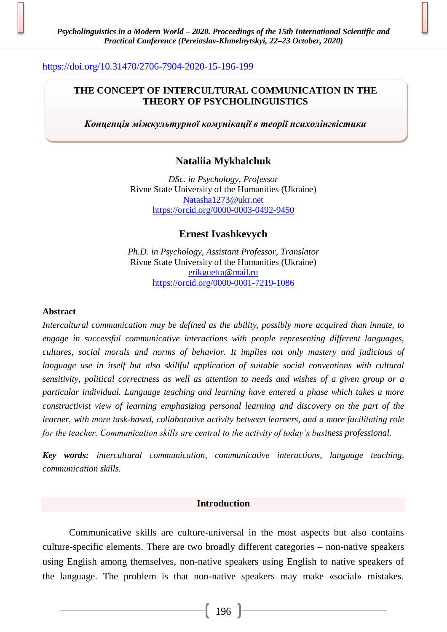### <https://doi.org/10.31470/2706-7904-2020-15-196-199>

## **THE CONCEPT OF INTERCULTURAL COMMUNICATION IN THE THEORY OF PSYCHOLINGUISTICS**

*Концепція міжкультурної комунікації в теорії психолінгвістики*

# **Nataliia Mykhalchuk**

*DSc. in Psychology, Professor* Rivne State University of the Humanities (Ukraine) [Natasha1273@ukr.net](mailto:Natasha1273@ukr.net) <https://orcid.org/0000-0003-0492-9450>

**Ernest Ivashkevych**

*Ph.D. in Psychology, Assistant Professor, Translator* Rivne State University of the Humanities (Ukraine) [erikguetta@mail.ru](mailto:erikguetta@mail.ru) <https://orcid.org/0000-0001-7219-1086>

#### **Abstract**

*Intercultural communication may be defined as the ability, possibly more acquired than innate, to engage in successful communicative interactions with people representing different languages, cultures, social morals and norms of behavior. It implies not only mastery and judicious of language use in itself but also skillful application of suitable social conventions with cultural sensitivity, political correctness as well as attention to needs and wishes of a given group or a particular individual. Language teaching and learning have entered a phase which takes a more constructivist view of learning emphasizing personal learning and discovery on the part of the learner, with more task-based, collaborative activity between learners, and a more facilitating role for the teacher. Communication skills are central to the activity of today's business professional.*

*Key words: intercultural communication, communicative interactions, language teaching, communication skills.*

#### **Introduction**

Communicative skills are culture-universal in the most aspects but also contains culture-specific elements. There are two broadly different categories – non-native speakers using English among themselves, non-native speakers using English to native speakers of the language. The problem is that non-native speakers may make «social» mistakes.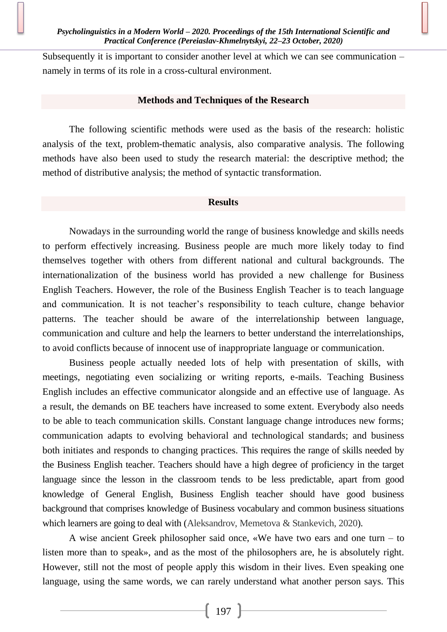Subsequently it is important to consider another level at which we can see communication – namely in terms of its role in a cross-cultural environment.

#### **Methods and Techniques of the Research**

The following scientific methods were used as the basis of the research: holistic analysis of the text, problem-thematic analysis, also comparative analysis. The following methods have also been used to study the research material: the descriptive method; the method of distributive analysis; the method of syntactic transformation.

#### **Results**

Nowadays in the surrounding world the range of business knowledge and skills needs to perform effectively increasing. Business people are much more likely today to find themselves together with others from different national and cultural backgrounds. The internationalization of the business world has provided a new challenge for Business English Teachers. However, the role of the Business English Teacher is to teach language and communication. It is not teacher's responsibility to teach culture, change behavior patterns. The teacher should be aware of the interrelationship between language, communication and culture and help the learners to better understand the interrelationships, to avoid conflicts because of innocent use of inappropriate language or communication.

Business people actually needed lots of help with presentation of skills, with meetings, negotiating even socializing or writing reports, e-mails. Teaching Business English includes an effective communicator alongside and an effective use of language. As a result, the demands on BE teachers have increased to some extent. Everybody also needs to be able to teach communication skills. Constant language change introduces new forms; communication adapts to evolving behavioral and technological standards; and business both initiates and responds to changing practices. This requires the range of skills needed by the Business English teacher. Teachers should have a high degree of proficiency in the target language since the lesson in the classroom tends to be less predictable, apart from good knowledge of General English, Business English teacher should have good business background that comprises knowledge of Business vocabulary and common business situations which learners are going to deal with (Aleksandrov, Memetova & Stankevich, 2020).

A wise ancient Greek philosopher said once, «We have two ears and one turn – to listen more than to speak», and as the most of the philosophers are, he is absolutely right. However, still not the most of people apply this wisdom in their lives. Even speaking one language, using the same words, we can rarely understand what another person says. This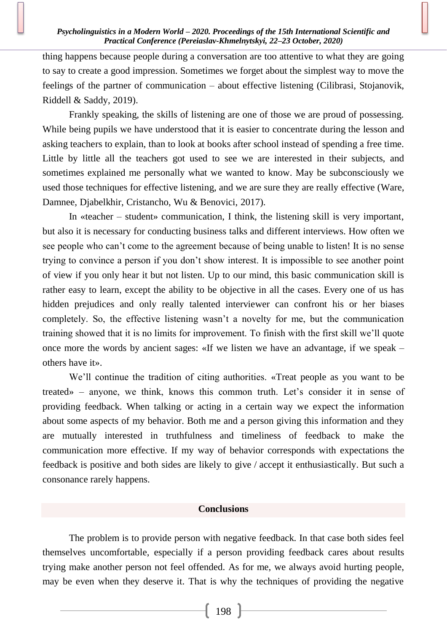#### *Psycholinguistics in a Modern World – 2020. Proceedings of the 15th International Scientific and Practical Conference (Pereiaslav-Khmelnytskyi, 22–23 October, 2020)*

thing happens because people during a conversation are too attentive to what they are going to say to create a good impression. Sometimes we forget about the simplest way to move the feelings of the partner of communication – about effective listening (Cilibrasi, Stojanovik, Riddell & Saddy, 2019).

Frankly speaking, the skills of listening are one of those we are proud of possessing. While being pupils we have understood that it is easier to concentrate during the lesson and asking teachers to explain, than to look at books after school instead of spending a free time. Little by little all the teachers got used to see we are interested in their subjects, and sometimes explained me personally what we wanted to know. May be subconsciously we used those techniques for effective listening, and we are sure they are really effective (Ware, Damnee, Djabelkhir, Cristancho, Wu & Benovici, 2017).

In «teacher – student» communication, I think, the listening skill is very important, but also it is necessary for conducting business talks and different interviews. How often we see people who can't come to the agreement because of being unable to listen! It is no sense trying to convince a person if you don't show interest. It is impossible to see another point of view if you only hear it but not listen. Up to our mind, this basic communication skill is rather easy to learn, except the ability to be objective in all the cases. Every one of us has hidden prejudices and only really talented interviewer can confront his or her biases completely. So, the effective listening wasn't a novelty for me, but the communication training showed that it is no limits for improvement. To finish with the first skill we'll quote once more the words by ancient sages: «If we listen we have an advantage, if we speak – others have it».

We'll continue the tradition of citing authorities. «Treat people as you want to be treated» – anyone, we think, knows this common truth. Let's consider it in sense of providing feedback. When talking or acting in a certain way we expect the information about some aspects of my behavior. Both me and a person giving this information and they are mutually interested in truthfulness and timeliness of feedback to make the communication more effective. If my way of behavior corresponds with expectations the feedback is positive and both sides are likely to give / accept it enthusiastically. But such a consonance rarely happens.

### **Conclusions**

The problem is to provide person with negative feedback. In that case both sides feel themselves uncomfortable, especially if a person providing feedback cares about results trying make another person not feel offended. As for me, we always avoid hurting people, may be even when they deserve it. That is why the techniques of providing the negative